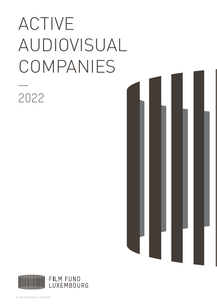# ACTIVE AUDIOVISUAL COMPANIES

2022



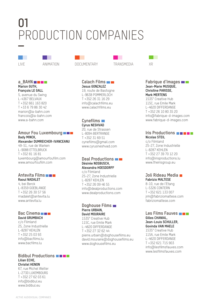# PRODUCTION COMPANIES **01**



#### **a\_BAHN Marion GUTH, François LE GALL**

5, avenue du Swing L-4367 BELVAUX T +352 661 163 820 T +33 6 79 86 30 42 marion@a-bahn.com francois@a-bahn.com www.a-bahn.com

#### **Amour Fou Luxembourg Bady MINCK, Alexander DUMREICHER-IVANCEANU**

49-51, rue de Warken L-9088 ETTELBRUCK T +352 81 16 81 luxembourg@amourfoufilm.com www.amourfoufilm.com

#### **Antevita Films Raoul NADALET**

4, bei Berck L-8359 GOEBLANGE T +352 26 30 57 56 rnadalet@antevita.lu www.antevita.lu

#### Bac Cinema<sup>n</sup> **David GRUMBACH**

c/o Filmland 25, Zone Industrielle L-8287 KEHLEN T +352 25 03 93 info@bacfilms.lu www.bacfilms.lu

#### **Bidibul Productions Lilian ECHE, Christel HENON**

67, rue Michel Welter L-2730 LUXEMBOURG T +352 27 62 03 61 info@bidibul.eu www.bidibul.eu

| ٦Ν<br>.<br>. . | <b>IN</b><br>1 N.A I<br>$\sim$<br>. .<br>. .<br>. | ור<br>∽<br>M.<br>. .<br>. | $\sqrt{2}$ |
|----------------|---------------------------------------------------|---------------------------|------------|



#### **Calach Films Jesus GONZALEZ**

19, route de Bastogne L-9638 POMMERLOCH T +352 26 31 16 29 info@calachfilms.eu www.calachfilms.eu

#### **Cynefilms Cyrus NESHVAD**

20, rue de Strassen L-8094 BERTRANGE T +352 31 69 51 cynefilms@gmail.com www.cyrusneshvad.com

#### **Deal Productions Désirée NOSBUSCH, Alexandra HOESDORFF**

c/o Filmland 25-27, Zone Industrielle L-8287 KEHLEN T +352 26 09 46 55 info@dealproductions.com www.dealproductions.com

#### **Doghouse Films Pierre URBAIN, David MOURAIRE**

1535° Creative Hub 115C, rue Emile Mark L-4620 DIFFERDANGE T +352 27 32 62 44 pierre.urbain@doghousefilms.eu david.mouraire@doghousefilms.eu www.doghousefilms.eu



#### **Fabrique d'Images Jean-Marie MUSIQUE, Christine PARISSE, Mark MERTENS**

1535° Creative Hub 115C, rue Emile Mark L-4620 DIFFERDANGE T +352 26 10 80 35 20 info@fabrique-d-images.com www.fabrique-d-images.com

#### **Iris Productions Nicolas STEIL**

c/o Filmland 25-27, Zone Industrielle L-8287 KEHLEN T +352 27 39 70 12 20 info@irisproductions.lu www.theirisgroup.eu

#### **Joli Rideau Media Fabrizio MALTESE**

8-10, rue de l'Etang L-5326 CONTERN T +352 621 133 007 jrm@fabriziomaltese.com fabriziomaltese.com

#### **Les Films Fauves Gilles CHANIAL, Jean-Louis SCHULLER, Govinda VAN MAELE**

1535° Creative Hub 115A, rue Emile Mark L-4620 DIFFERDANGE T +352 621 715 903 info@lesfilmsfauves.com www.lesfilmsfauves.com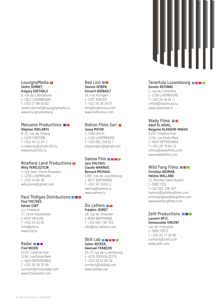#### **LouvignyMedia Cédric DONNET, Grégory GOETHALS**

9, rue du Laboratoire L-1911 LUXEMBOURG T +352 27 86 04 62 cedric.donnet@louvignymedia.lu www.louvignymedia.lu

#### **Melusine Productions Stéphan ROELANTS**

8-10, rue de l'Etang L-5326 CONTERN T +352 40 13 20-1 s.roelants@studio352.lu www.studio352.lu

#### **Nowhere Land Productions Willy PERELSZTEJN**

4, rue Jean-Pierre Brasseur L-1258 LUXEMBOURG T +352 44 85 38 willy.perel@gmail.com

#### **Paul Thiltges Distributions Paul THILTGES, Adrien CHEF**

c/o Filmland 27, Zone Industrielle L-8287 KEHLEN T +352 25 03 93 info@ptd.lu www.ptd.lu

#### **Radar Fred NEUEN**

1535° Creative Hub 115A, rue Emile Mark L-4620 DIFFERDANGE T +352 26 58 35 08 contact@thisisradar.com www.thisisradar.com

#### **Red Lion Jeanne GEIBEN, Vincent QUÉNAULT**

16, rue Alzingen L-3397 ROESER T +352 26 36 16 07 info@redlionlux.com www.redlionlux.com

#### **Rishon Films Sarl Jossy MAYOR**

1, Côte d'Eich L-1450 LUXEMBOURG T +352 691 318 817 jossy.mayor@gmail.com

#### **Samsa Film Jani THILTGES, Claude WARINGO, Bernard MICHAUX** 238C, rue de Luxembourg

L-8077 BERTRANGE T +352 45 19 60-1 samsa@samsa.lu www.samsa.lu

#### **Six Letters Frédéric ZEIMET**

40, rue de Strassen L-8094 BERTRANGE T +352 691 736 703 info@six-letters.com

#### **Skill Labn Digital Julien BECKER, Gwenael FRANÇOIS**

25-27 rue de Luxembourg L-4220 ESCH/ALZETTE T +352 26 53 00 59 contact@skilllab.net www.skilllab.net

#### **Tarantula Luxembourg Donato ROTUNNO**

1, rue du Cimetière L-1338 LUXEMBOURG T +352 26 49 61-1 office@tarantula.lu www.tarantula.lu

#### Wady Films **Wady Adolf EL ASSAL,**

**Neigeme GLASGOW-MAEDA** 1535° Creative Hub

115A, rue Emile Mark L-4620 DIFFERDANGE T +352 28 79 84 13 office@wadyfilms.com www.wadyfilms.com

#### **Wild Fang Films Christian NEUMAN, Hélène WALLAND**

12, Montée Saint Hubert L-5962 ITZIG T+352 661 106 357 helene@wildfangfilms.com christian@wildfangfilms.com www.wildfangfilms.com

#### **Zeilt Productions Laurent WITZ, Emmanuelle VINCENT**

rue de l'Industrie L-3895 FOETZ T +352 26 17 56 90 contact@zeilt.com www.zeilt.com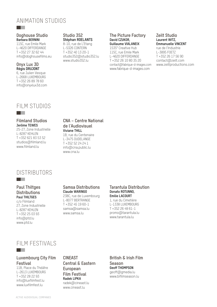# ANIMATION STUDIOS

#### **Doghouse Studio Barbara BERNINI**

a ka

115C, rue Emile Mark L-4620 DIFFERDANGE T +352 27 32 62 44 info@doghousefilms.eu

#### **Onyx Lux 3D Régis DRUJONT**

6, rue Julien Vesque L-2668 LUXEMBOURG T +352 26 89 78 60 info@onyxlux3d.com

#### **Studio 352 Stéphan ROELANTS**

8-10, rue de L'Etang L-5326 CONTERN T +352 40 13 20-1 studio352@studio352.lu www.studio352.lu

#### **The Picture Factory David CZUKOR, Guillaume VIALANEIX**

1535° Creative Hub 115C, rue Emile Mark L-4620 DIFFERDANGE T +352 26 10 80 35 20 contact@fabrique-d-images.com www.fabrique-d-images.com

#### **Zeilt Studio Laurent WITZ, Emmanuelle VINCENT** rue de l'Industrie

L-3895 FOETZ T +352 26 17 56 90 contact@zeilt.com www.zeiltproductions.com

# FILM STUDIOS

#### **Filmland Studios Jerôme TEWES**

**The Contract State** 

25-27, Zone Industrielle L-8287 KEHLEN T +352 621 83 53 52 studios@filmland.lu www.filmland.lu

#### **CNA – Centre National de l'Audiovisuel Viviane THILL** 1B, rue du Centenaire

L-3475 DUDELANGE T +352 52 24 24 1 info@cna.public.lu www.cna.lu

# DISTRIBUTORS

#### **Paul Thiltges Distributions Paul THILTGES** c/o Filmland

**The Co** 

<u>ra sa Ba</u>

27, Zone Industrielle L-8287 KEHLEN T +352 25 03 93 info@ptd.lu www.ptd.lu

#### **Samsa Distributions Claude WARINGO**

238C, rue de Luxembourg L-8077 BERTRANGE T +352 45 19 60-1 samsa@samsa.lu www.samsa.lu

#### **Tarantula Distribution Donato ROTUNNO, Emilie LACOURT**

1, rue du Cimetière L-1338 LUXEMBOURG T +352 26 49 61-1 promo@tarantula.lu www.tarantula.lu

# FILM FESTIVALS

#### **Luxembourg City Film Festival**

11B, Place du Théâtre L-2613 LUXEMBOURG T +352 28 22 93 info@luxfilmfest.lu www.luxfilmfest.lu

**CINEAST Central & Eastern European Film Festival Radek LIPKA** radek@cineast.lu www.cineast.lu

**British & Irish Film Season Geoff THOMPSON** geoff@gmedia.lu www.bifilmseason.lu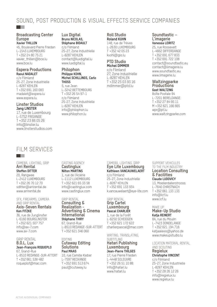# SOUND, POST PRODUCTION & VISUAL EFFECTS SERVICE COMPANIES

#### **Broadcasting Center Europe Xavier THILLEN**

a ka

45, Boulevard Pierre Frieden L-1543 LUXEMBOURG T +352 24 80 75 21 xavier\_thillen@bce.lu www.bce.lu

#### **Espera Productions Raoul NADALET**

c/o Filmland 25-27, Zone Industrielle L-8287 KEHLEN T +352 691 160 083 rnadalet@espera.lu www.espera.lu

#### **Linster Studios Jang LINSTER**

17, rue de Luxembourg L-5752 FRISANGE T +352 23 66 05 26 info@linster.lu www.linsterstudios.com

# FILM SERVICES

CAMERA, LIGHTING, GRIP **Arri Rental Steffen DITTER**

an an

20, Rangwee L-2412 LUXEMBOURG T +352 26 70 12 70 sditter@arrirental.de www.arrirental.de

SFX, FIREARMS, CAMERA AND GRIP RENTAL **Axis-Seven Rentals Ken FITZKE**

36, rue de Junglinster L-6160 BOURGLINSTER T +352 621 507 757 info@ax-7.com www.ax-7.com

#### GRIP RENTAL **B.O.L. Lux Jean-François ROQUEPLO** 67, Grand-Rue L-8510 REDANGE-SUR-ATTERT

T +352 661 538 482 roqueplof@mac.com

#### **Lux Digital Bruno NICOLAS, Stéphane BIDAULT**

c/o Filmland 25-27, Zone Industrielle L-8287 KEHLEN contact@luxdigital.lu www.luxdigital.lu

#### **Philophon Philippe KOHN, Michel SCHILLINGS, Carlo THOSS**

#### 5, rue Jean

L-3242 BETTEMBOURG T +352 26 54 97-1 c/o Filmland 25-27, Zone Industrielle L-8287 KEHLEN info@philophon.lu www.philophon.lu

#### **Roll Studio Roland KUHN**

148, rue de Trèves L-2630 LUXEMBOURG T +352 42 05 23 kvohl@gio.lu

#### **PTD Studio Michel DIMMER**

c/o Filmland 27, Zone Industrielle L-8287 KEHLEN T +352 25 03 93 16 mdimmer@ptd.lu

#### **Soundtastic – L'imagerie Vanessa LEIRITZ**

25, rue Roosevelt L-4662 DIFFERDANGE T +352 691 677 833 T +352 691 722 108 contact@soundtastic.eu contact@limagerie.lu www.soundtastic.eu www.limagerie.lu

#### **Waltzingparke Productions Gast WALTZING**

Boîte Postale 94 L-7201 BERELDANGE T +352 27 84 95 11 M +352 621 166 665 wpr@pt.lu www.waltzingparke.com

# CASTING AGENCY **Castinglux**

**Nilton MARTINS** 1, rue de l'Aciérie

L-1112 LUXEMBOURG T +352 621 65 33 58 info@castinglux.com www.castinglux.com

#### GRIP RENTAL **Consulting & Realization - Advertising & Cinema International Stéphane THIRY**

67, Grand-Rue L-8510 REDANGE-SUR-ATTERT T +352 621 346 060

#### EDITING **Cutaway Editing Solutions Paul MAAS**

10, rue Camille Kleber L-7597 RECKANGE T +352 691 513 674 paul@cutaway.lu

#### CAMERA, LIGHTING, GRIP **Eye Lite Luxembourg Kathleen VANCAUWELAERT**

c/o Filmland 25-27, Zone Industrielle L-8287 KEHLEN T +352 691 133 934 k.vancauwelaert@eye-lite.com

#### GRIP RENTAL **Grip Cartel Luxembourg**

**Pascal CHARLIER** 1, rue de la Forêt

L-6250 SCHEIDGEN T +352 621 172 622 charlierpascal@mac.com

#### WRITING, TRANSLATING,

#### SUBTITLING **Hatari Publishing Luxembourg Jean-Pierre THILGES**

17, rue Pierre Frieden L-4448 SOLEUVRE T +352 26 51 10 88 info@hatari.lu www.hatari.lu

#### SUPPORT VEHICULES TO THE FILM INDUSTRY **Location Consulting**

#### **& Facilities Claude LUDOVICY** 13, Moellerdallerstrooss L-7640 CHRISTNACH

T +352 661 133 133 info@lcf.lu www.lcf.lu

### MAKE **IIP**

#### **Make-Up Studio Katja REINERT** 8A, rue du Moulin

L-7423 DONDELANGE T +352 621 194 716 katjaalexis@yahoo.de www.makeupstudio.lu

#### LOCATION MATERIAL RENTAL AND SCOUTING **Regielux**

**Christophe VINCENT** c/o Filmland

25-27, Zone Industrielle L-8287 KEHLEN T +352 28 26 12 26 info@regielux.lu www.regielux.lu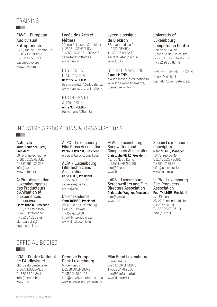# TRAINING

a sa B

#### **EAVE – European Audiovisual Entrepreneurs**

238C, rue de Luxembourg L-8077 BERTRANGE T +352 44 52 10 1 eave@eave.org www.eave.org

#### **Lycée des Arts et Métiers**

19, rue Guillaume Schneider L-2522 LUXEMBOURG T +352 46 76 16 - 200/206 secretariat@ltam.lu www.ltam.lu

## BTS DESSIN

D'ANIMATION

**Béatrice WELTER** beatrice.welter@education.lu www.ltam.lu/bts-animation/

#### BTS CINÉMA ET

**AUDIOVISUEL Anne SCHROEDER**

bts-cinema@ltam.lu

#### **Lycée classique de Diekirch** 32, avenue de la Gare

L-9233 DIEKIRCH T +352 26 80 72 10 secretariatab@lcd.lu www.lcd.lu

#### BTS MEDIA WRITING **Claude MOYEN**

claude.moyen@education.lu www.lcd.lu/departements/ btsmedia- writing/

#### **University of Luxembourg Competence Centre**

Maison du Savoir 2, avenue de l'Université L-4365 ESCH-SUR-ALZETTE T +352 26 15 92 45

#### BACHELOR EN DESSIN D'ANIMATION

bachelor@competence.lu

# INDUSTRY ASSOCIATIONS & ORGANISATIONS

**Actors.lu Aude-Laurence Biver, President**

10, avenue Guillaume L-1650 LUXEMBOURG T +352 691 139 225 info@actors.lu www.actors.lu

**ALPA - Association Luxembourgeoise des Producteurs d'Animation et d'Expériences Immersives Pierre Urbain, President** 115C, rue Emile Mark L-4620 Differdange T +352 27 32 62 42 pierre.urbain@ doghousefilms.eu

**ALPC – Luxembourg Film Press Association Pablo CHIMIENTI, President** president.alpc@gmail.com

**ALTA – Luxembourg Film Technicians Association Carlo THIEL, President** T +352 621 16 10 97

secretaire@alta.lu www.alta.lu

**D'Filmakademie Yann TONNAR, President** 238C, rue de Luxembourg L-8077 BERTRANGE T +352 45 19 80 info@filmakademie.lu

www.filmakademie.lu

**FLAC – Luxembourg Songwriters and Composers Association Christophe REITZ, President** 41, rue Notre Dame

L-2240 LUXEMBOURG info@flac.lu www.flac.lu

**LARS – Luxembourg Screenwriters and Film Directors Association Christophe Wagner, President**  info@lars.lu www.lars.lu

#### **Sacem Luxembourg Copyrights Marc NICKTS, Manager**

76-78, rue de Merl L-2146 LUXEMBOURG T +352 47 55 59 info@sacemlux.lu www.sacem.lu

#### **ULPA – Luxembourg Film Producers Association Paul THILTGES, President** c/o Filmland

25-27, Zone Industrielle L-8287 KEHLEN T +352 25 03 93 10 paul@ptd.lu

# OFFICIAL BODIES

#### **CNA – Centre National de l'Audiovisuel**

1B, rue du Centenaire L-3475 DUDELANGE T +352 52 24 24 1 info@cna.public.lu www.cna.lu

**The Co** 

#### **Creative Europe Desk Luxembourg**

5, rue Plaetis L-2338 LUXEMBOURG T +352 2478 21 97 info@creative-europe.etat.lu www.creative-europe.lu/media

#### **Film Fund Luxembourg**

5, rue Plaetis L-2338 LUXEMBOURG T +352 2478 20 65 info@filmfund.etat.lu www.filmfund.lu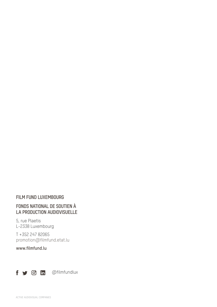#### **FILM FUND LUXEMBOURG**

# **FONDS NATIONAL DE SOUTIEN À LA PRODUCTION AUDIOVISUELLE**

5, rue Plaetis L-2338 Luxembourg

T +352 247 82065 promotion@filmfund.etat.lu

**www.filmfund.lu**